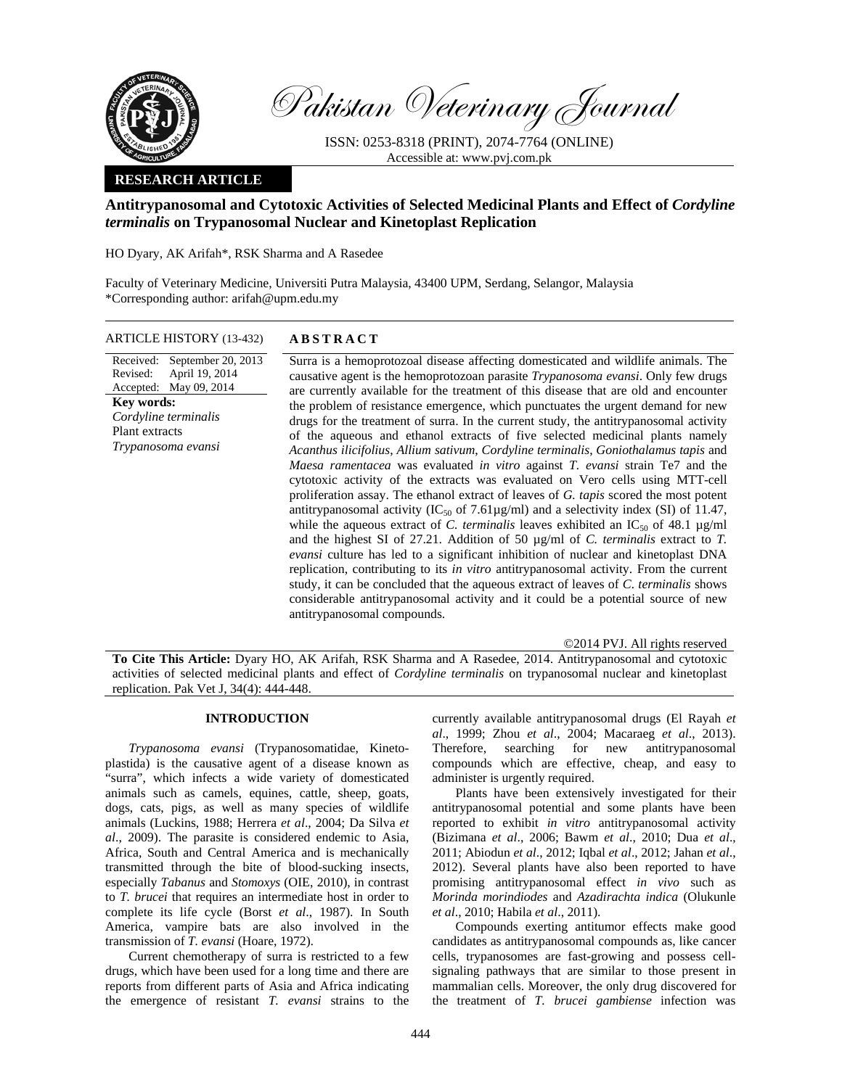

Pakistan Veterinary Journal

ISSN: 0253-8318 (PRINT), 2074-7764 (ONLINE) Accessible at: www.pvj.com.pk

## **RESEARCH ARTICLE**

# **Antitrypanosomal and Cytotoxic Activities of Selected Medicinal Plants and Effect of** *Cordyline terminalis* **on Trypanosomal Nuclear and Kinetoplast Replication**

HO Dyary, AK Arifah\*, RSK Sharma and A Rasedee

Faculty of Veterinary Medicine, Universiti Putra Malaysia, 43400 UPM, Serdang, Selangor, Malaysia \*Corresponding author: arifah@upm.edu.my

ARTICLE HISTORY (13-432) **ABSTRACT** 

Received: September 20, 2013 Revised: Accepted: April 19, 2014 May 09, 2014 **Key words:**  *Cordyline terminalis* Plant extracts *Trypanosoma evansi*

 Surra is a hemoprotozoal disease affecting domesticated and wildlife animals. The causative agent is the hemoprotozoan parasite *Trypanosoma evansi*. Only few drugs are currently available for the treatment of this disease that are old and encounter the problem of resistance emergence, which punctuates the urgent demand for new drugs for the treatment of surra. In the current study, the antitrypanosomal activity of the aqueous and ethanol extracts of five selected medicinal plants namely *Acanthus ilicifolius*, *Allium sativum*, *Cordyline terminalis*, *Goniothalamus tapis* and *Maesa ramentacea* was evaluated *in vitro* against *T. evansi* strain Te7 and the cytotoxic activity of the extracts was evaluated on Vero cells using MTT-cell proliferation assay. The ethanol extract of leaves of *G. tapis* scored the most potent antitrypanosomal activity ( $IC_{50}$  of 7.61µg/ml) and a selectivity index (SI) of 11.47, while the aqueous extract of *C. terminalis* leaves exhibited an  $IC_{50}$  of 48.1  $\mu$ g/ml and the highest SI of 27.21. Addition of 50 µg/ml of *C. terminalis* extract to *T. evansi* culture has led to a significant inhibition of nuclear and kinetoplast DNA replication, contributing to its *in vitro* antitrypanosomal activity. From the current study, it can be concluded that the aqueous extract of leaves of *C. terminalis* shows considerable antitrypanosomal activity and it could be a potential source of new antitrypanosomal compounds.

©2014 PVJ. All rights reserved

**To Cite This Article:** Dyary HO, AK Arifah, RSK Sharma and A Rasedee, 2014. Antitrypanosomal and cytotoxic activities of selected medicinal plants and effect of *Cordyline terminalis* on trypanosomal nuclear and kinetoplast replication. Pak Vet J, 34(4): 444-448.

### **INTRODUCTION**

*Trypanosoma evansi* (Trypanosomatidae, Kinetoplastida) is the causative agent of a disease known as "surra", which infects a wide variety of domesticated animals such as camels, equines, cattle, sheep, goats, dogs, cats, pigs, as well as many species of wildlife animals (Luckins, 1988; Herrera *et al*., 2004; Da Silva *et al*., 2009). The parasite is considered endemic to Asia, Africa, South and Central America and is mechanically transmitted through the bite of blood-sucking insects, especially *Tabanus* and *Stomoxys* (OIE, 2010), in contrast to *T. brucei* that requires an intermediate host in order to complete its life cycle (Borst *et al*., 1987). In South America, vampire bats are also involved in the transmission of *T. evansi* (Hoare, 1972).

Current chemotherapy of surra is restricted to a few drugs, which have been used for a long time and there are reports from different parts of Asia and Africa indicating the emergence of resistant *T. evansi* strains to the currently available antitrypanosomal drugs (El Rayah *et al*., 1999; Zhou *et al*., 2004; Macaraeg *et al*., 2013). Therefore, searching for new antitrypanosomal compounds which are effective, cheap, and easy to administer is urgently required.

Plants have been extensively investigated for their antitrypanosomal potential and some plants have been reported to exhibit *in vitro* antitrypanosomal activity (Bizimana *et al*., 2006; Bawm *et al*., 2010; Dua *et al*., 2011; Abiodun *et al*., 2012; Iqbal *et al*., 2012; Jahan *et al*., 2012). Several plants have also been reported to have promising antitrypanosomal effect *in vivo* such as *Morinda morindiodes* and *Azadirachta indica* (Olukunle *et al*., 2010; Habila *et al*., 2011).

Compounds exerting antitumor effects make good candidates as antitrypanosomal compounds as, like cancer cells, trypanosomes are fast-growing and possess cellsignaling pathways that are similar to those present in mammalian cells. Moreover, the only drug discovered for the treatment of *T. brucei gambiense* infection was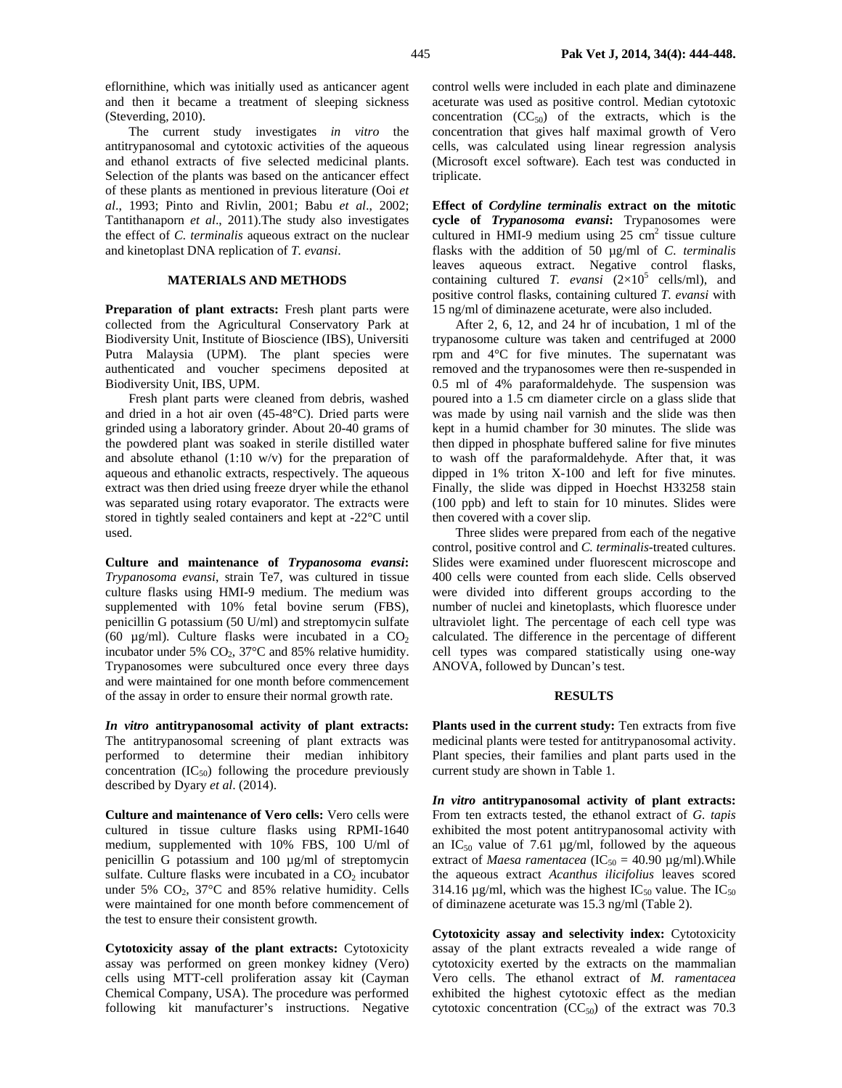eflornithine, which was initially used as anticancer agent and then it became a treatment of sleeping sickness (Steverding, 2010).

The current study investigates *in vitro* the antitrypanosomal and cytotoxic activities of the aqueous and ethanol extracts of five selected medicinal plants. Selection of the plants was based on the anticancer effect of these plants as mentioned in previous literature (Ooi *et al*., 1993; Pinto and Rivlin, 2001; Babu *et al*., 2002; Tantithanaporn *et al*., 2011).The study also investigates the effect of *C. terminalis* aqueous extract on the nuclear and kinetoplast DNA replication of *T. evansi*.

## **MATERIALS AND METHODS**

Preparation of plant extracts: Fresh plant parts were collected from the Agricultural Conservatory Park at Biodiversity Unit, Institute of Bioscience (IBS), Universiti Putra Malaysia (UPM). The plant species were authenticated and voucher specimens deposited at Biodiversity Unit, IBS, UPM.

Fresh plant parts were cleaned from debris, washed and dried in a hot air oven (45-48°C). Dried parts were grinded using a laboratory grinder. About 20-40 grams of the powdered plant was soaked in sterile distilled water and absolute ethanol (1:10 w/v) for the preparation of aqueous and ethanolic extracts, respectively. The aqueous extract was then dried using freeze dryer while the ethanol was separated using rotary evaporator. The extracts were stored in tightly sealed containers and kept at -22°C until used.

**Culture and maintenance of** *Trypanosoma evansi***:**  *Trypanosoma evansi*, strain Te7, was cultured in tissue culture flasks using HMI-9 medium. The medium was supplemented with 10% fetal bovine serum (FBS), penicillin G potassium (50 U/ml) and streptomycin sulfate (60  $\mu$ g/ml). Culture flasks were incubated in a CO<sub>2</sub> incubator under 5%  $CO<sub>2</sub>$ , 37°C and 85% relative humidity. Trypanosomes were subcultured once every three days and were maintained for one month before commencement of the assay in order to ensure their normal growth rate.

*In vitro* **antitrypanosomal activity of plant extracts:**  The antitrypanosomal screening of plant extracts was performed to determine their median inhibitory concentration  $(IC_{50})$  following the procedure previously described by Dyary *et al*. (2014).

**Culture and maintenance of Vero cells:** Vero cells were cultured in tissue culture flasks using RPMI-1640 medium, supplemented with 10% FBS, 100 U/ml of penicillin G potassium and 100 µg/ml of streptomycin sulfate. Culture flasks were incubated in a  $CO<sub>2</sub>$  incubator under 5%  $CO<sub>2</sub>$ , 37°C and 85% relative humidity. Cells were maintained for one month before commencement of the test to ensure their consistent growth.

**Cytotoxicity assay of the plant extracts:** Cytotoxicity assay was performed on green monkey kidney (Vero) cells using MTT-cell proliferation assay kit (Cayman Chemical Company, USA). The procedure was performed following kit manufacturer's instructions. Negative

control wells were included in each plate and diminazene aceturate was used as positive control. Median cytotoxic concentration  $(CC_{50})$  of the extracts, which is the concentration that gives half maximal growth of Vero cells, was calculated using linear regression analysis (Microsoft excel software). Each test was conducted in triplicate.

**Effect of** *Cordyline terminalis* **extract on the mitotic cycle of** *Trypanosoma evansi***:** Trypanosomes were cultured in HMI-9 medium using  $25 \text{ cm}^2$  tissue culture flasks with the addition of 50 µg/ml of *C. terminalis* leaves aqueous extract. Negative control flasks, containing cultured *T. evansi*  $(2\times10^5 \text{ cells/ml})$ , and positive control flasks, containing cultured *T. evansi* with 15 ng/ml of diminazene aceturate, were also included.

After 2, 6, 12, and 24 hr of incubation, 1 ml of the trypanosome culture was taken and centrifuged at 2000 rpm and 4°C for five minutes. The supernatant was removed and the trypanosomes were then re-suspended in 0.5 ml of 4% paraformaldehyde. The suspension was poured into a 1.5 cm diameter circle on a glass slide that was made by using nail varnish and the slide was then kept in a humid chamber for 30 minutes. The slide was then dipped in phosphate buffered saline for five minutes to wash off the paraformaldehyde. After that, it was dipped in 1% triton X-100 and left for five minutes. Finally, the slide was dipped in Hoechst H33258 stain (100 ppb) and left to stain for 10 minutes. Slides were then covered with a cover slip.

Three slides were prepared from each of the negative control, positive control and *C. terminalis*-treated cultures. Slides were examined under fluorescent microscope and 400 cells were counted from each slide. Cells observed were divided into different groups according to the number of nuclei and kinetoplasts, which fluoresce under ultraviolet light. The percentage of each cell type was calculated. The difference in the percentage of different cell types was compared statistically using one-way ANOVA, followed by Duncan's test.

#### **RESULTS**

Plants used in the current study: Ten extracts from five medicinal plants were tested for antitrypanosomal activity. Plant species, their families and plant parts used in the current study are shown in Table 1.

*In vitro* **antitrypanosomal activity of plant extracts:**  From ten extracts tested, the ethanol extract of *G. tapis* exhibited the most potent antitrypanosomal activity with an  $IC_{50}$  value of 7.61  $\mu$ g/ml, followed by the aqueous extract of *Maesa ramentacea* (IC<sub>50</sub> = 40.90  $\mu$ g/ml). While the aqueous extract *Acanthus ilicifolius* leaves scored 314.16  $\mu$ g/ml, which was the highest IC<sub>50</sub> value. The IC<sub>50</sub> of diminazene aceturate was 15.3 ng/ml (Table 2).

**Cytotoxicity assay and selectivity index:** Cytotoxicity assay of the plant extracts revealed a wide range of cytotoxicity exerted by the extracts on the mammalian Vero cells. The ethanol extract of *M. ramentacea* exhibited the highest cytotoxic effect as the median cytotoxic concentration  $(CC<sub>50</sub>)$  of the extract was 70.3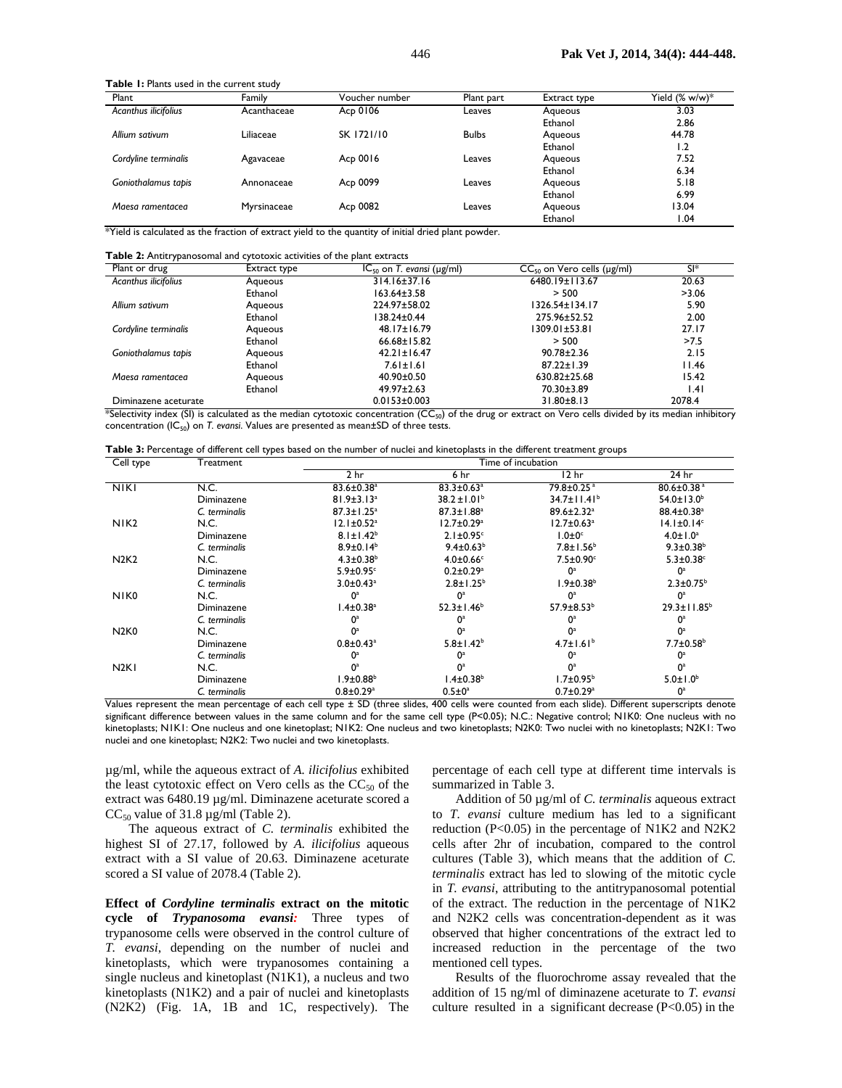**Table 1:** Plants used in the current study

| Plant                | Family      | Voucher number | Plant part   | Extract type | Yield $(\% w/w)^*$ |
|----------------------|-------------|----------------|--------------|--------------|--------------------|
| Acanthus ilicifolius | Acanthaceae | Acp 0106       | Leaves       | Aqueous      | 3.03               |
|                      |             |                |              | Ethanol      | 2.86               |
| Allium sativum       | Liliaceae   | SK 1721/10     | <b>Bulbs</b> | Agueous      | 44.78              |
|                      |             |                |              | Ethanol      | 1.2                |
| Cordyline terminalis | Agavaceae   | Acp 0016       | Leaves       | Agueous      | 7.52               |
|                      |             |                |              | Ethanol      | 6.34               |
| Goniothalamus tapis  | Annonaceae  | Acp 0099       | Leaves       | Aqueous      | 5.18               |
|                      |             |                |              | Ethanol      | 6.99               |
| Maesa ramentacea     | Myrsinaceae | Acp 0082       | Leaves       | Agueous      | 13.04              |
|                      |             |                |              | Ethanol      | 1.04               |

\*Yield is calculated as the fraction of extract yield to the quantity of initial dried plant powder.

**Table 2:** Antitrypanosomal and cytotoxic activities of the plant extracts

| Plant or drug               | Extract type | $IC_{50}$ on T. evansi ( $\mu$ g/ml) | $CC_{50}$ on Vero cells ( $\mu$ g/ml) | SI*    |
|-----------------------------|--------------|--------------------------------------|---------------------------------------|--------|
| <b>Acanthus ilicifolius</b> | Agueous      | 314.16±37.16                         | 6480.19±113.67                        | 20.63  |
|                             | Ethanol      | 163.64±3.58                          | > 500                                 | >3.06  |
| Allium sativum              | Agueous      | 224.97±58.02                         | 1326.54±134.17                        | 5.90   |
|                             | Ethanol      | 138.24±0.44                          | 275.96±52.52                          | 2.00   |
| Cordyline terminalis        | Agueous      | $48.17 \pm 16.79$                    | 1309.01±53.81                         | 27.17  |
|                             | Ethanol      | $66.68 \pm 15.82$                    | > 500                                 | >7.5   |
| Goniothalamus tapis         | Aqueous      | $42.21 \pm 16.47$                    | $90.78 \pm 2.36$                      | 2.15   |
|                             | Ethanol      | $7.61 \pm 1.61$                      | $87.22 \pm 1.39$                      | 11.46  |
| Maesa ramentacea            | Aqueous      | 40.90±0.50                           | 630.82±25.68                          | 15.42  |
|                             | Ethanol      | $49.97 \pm 2.63$                     | 70.30±3.89                            | .4     |
| Diminazene aceturate        |              | $0.0153 \pm 0.003$                   | $31.80 \pm 8.13$                      | 2078.4 |

\*Selectivity index (SI) is calculated as the median cytotoxic concentration (CC<sub>50</sub>) of the drug or extract on Vero cells divided by its median inhibitory concentration (IC<sub>50</sub>) on *T. evansi*. Values are presented as mean±SD of three tests.

|  | Table 3: Percentage of different cell types based on the number of nuclei and kinetoplasts in the different treatment groups |  |
|--|------------------------------------------------------------------------------------------------------------------------------|--|
|--|------------------------------------------------------------------------------------------------------------------------------|--|

| Cell type                     | Treatment     | Time of incubation           |                              |                              |                              |  |
|-------------------------------|---------------|------------------------------|------------------------------|------------------------------|------------------------------|--|
|                               |               | 2 <sub>hr</sub>              | 6 hr                         | 12 <sub>hr</sub>             | 24 hr                        |  |
| $N$ KI                        | N.C.          | $83.6 \pm 0.38$ <sup>a</sup> | $83.3 \pm 0.63$ <sup>a</sup> | 79.8±0.25 <sup>a</sup>       | $80.6 \pm 0.38$ <sup>a</sup> |  |
|                               | Diminazene    | $81.9 \pm 3.13$ <sup>a</sup> | $38.2 \pm 1.01^b$            | $34.7 \pm 11.41^{\circ}$     | $54.0 \pm 13.0^{\circ}$      |  |
|                               | C. terminalis | $87.3 \pm 1.25^a$            | $87.3 \pm 1.88$ <sup>a</sup> | $89.6 \pm 2.32$ <sup>a</sup> | 88.4±0.38 <sup>a</sup>       |  |
| NIK <sub>2</sub>              | N.C.          | $12.1 \pm 0.52$ <sup>a</sup> | $12.7 \pm 0.29^{\mathrm{a}}$ | $12.7 \pm 0.63$ <sup>a</sup> | $14.1 \pm 0.14$ <sup>c</sup> |  |
|                               | Diminazene    | $8.1 \pm 1.42^b$             | $2.1 \pm 0.95$ <sup>c</sup>  | $1.0 \pm 0$ <sup>c</sup>     | $4.0 \pm 1.0^a$              |  |
|                               | C. terminalis | $8.9 \pm 0.14^b$             | $9.4 \pm 0.63^b$             | $7.8 \pm 1.56^b$             | $9.3 \pm 0.38^b$             |  |
| <b>N2K2</b>                   | N.C.          | $4.3 \pm 0.38$ <sup>b</sup>  | $4.0 \pm 0.66$ c             | $7.5\pm0.90$ <sup>c</sup>    | $5.3 \pm 0.38$ °             |  |
|                               | Diminazene    | $5.9 \pm 0.95$ <sup>c</sup>  | $0.2 \pm 0.29$ <sup>a</sup>  | $0^a$                        | $0^a$                        |  |
|                               | C. terminalis | $3.0 \pm 0.43$ <sup>a</sup>  | $2.8 \pm 1.25^b$             | $1.9 \pm 0.38^b$             | $2.3 \pm 0.75^b$             |  |
| NIK <sub>0</sub>              | N.C.          | $0^a$                        | $0^a$                        | 0 <sup>a</sup>               | $0^a$                        |  |
|                               | Diminazene    | $1.4 \pm 0.38$ <sup>a</sup>  | $52.3 \pm 1.46^b$            | $57.9 \pm 8.53^b$            | $29.3 \pm 11.85^{\circ}$     |  |
|                               | C. terminalis | 0ª                           | $0^{\rm a}$                  | 0ª                           | $0^{\rm a}$                  |  |
| N <sub>2</sub> K <sub>0</sub> | N.C.          | $0^a$                        | 0 <sup>a</sup>               | $0^a$                        | $0^a$                        |  |
|                               | Diminazene    | $0.8 \pm 0.43$ <sup>a</sup>  | $5.8 \pm 1.42^b$             | $4.7 \pm 1.61^b$             | $7.7 \pm 0.58$ <sup>b</sup>  |  |
|                               | C. terminalis | $0^a$                        | $0^a$                        | 0 <sup>a</sup>               | $\mathbf{O}^{\mathrm{a}}$    |  |
| N <sub>2K</sub>               | N.C.          | $0^a$                        | $0^a$                        | $0^a$                        | 0 <sup>a</sup>               |  |
|                               | Diminazene    | $1.9 \pm 0.88^b$             | l.4±0.38 $^{\rm b}$          | $1.7 \pm 0.95^{\circ}$       | $5.0 \pm 1.0^b$              |  |
|                               | C. terminalis | $0.8 \pm 0.29$ <sup>a</sup>  | $0.5 \pm 0^{\circ}$          | $0.7 \pm 0.29$ <sup>a</sup>  | $0^a$                        |  |

Values represent the mean percentage of each cell type ± SD (three slides, 400 cells were counted from each slide). Different superscripts denote significant difference between values in the same column and for the same cell type (P<0.05); N.C.: Negative control; N1K0: One nucleus with no kinetoplasts; N1K1: One nucleus and one kinetoplast; N1K2: One nucleus and two kinetoplasts; N2K0: Two nuclei with no kinetoplasts; N2K1: Two nuclei and one kinetoplast; N2K2: Two nuclei and two kinetoplasts.

µg/ml, while the aqueous extract of *A. ilicifolius* exhibited the least cytotoxic effect on Vero cells as the  $CC_{50}$  of the extract was 6480.19 µg/ml. Diminazene aceturate scored a  $CC_{50}$  value of 31.8  $\mu$ g/ml (Table 2).

The aqueous extract of *C. terminalis* exhibited the highest SI of 27.17, followed by *A. ilicifolius* aqueous extract with a SI value of 20.63. Diminazene aceturate scored a SI value of 2078.4 (Table 2).

**Effect of** *Cordyline terminalis* **extract on the mitotic cycle of** *Trypanosoma evansi:* Three types of trypanosome cells were observed in the control culture of *T. evansi*, depending on the number of nuclei and kinetoplasts, which were trypanosomes containing a single nucleus and kinetoplast (N1K1), a nucleus and two kinetoplasts (N1K2) and a pair of nuclei and kinetoplasts (N2K2) (Fig. 1A, 1B and 1C, respectively). The

percentage of each cell type at different time intervals is summarized in Table 3.

Addition of 50 µg/ml of *C. terminalis* aqueous extract to *T. evansi* culture medium has led to a significant reduction (P<0.05) in the percentage of N1K2 and N2K2 cells after 2hr of incubation, compared to the control cultures (Table 3), which means that the addition of *C. terminalis* extract has led to slowing of the mitotic cycle in *T. evansi*, attributing to the antitrypanosomal potential of the extract. The reduction in the percentage of N1K2 and N2K2 cells was concentration-dependent as it was observed that higher concentrations of the extract led to increased reduction in the percentage of the two mentioned cell types.

Results of the fluorochrome assay revealed that the addition of 15 ng/ml of diminazene aceturate to *T. evansi* culture resulted in a significant decrease  $(P<0.05)$  in the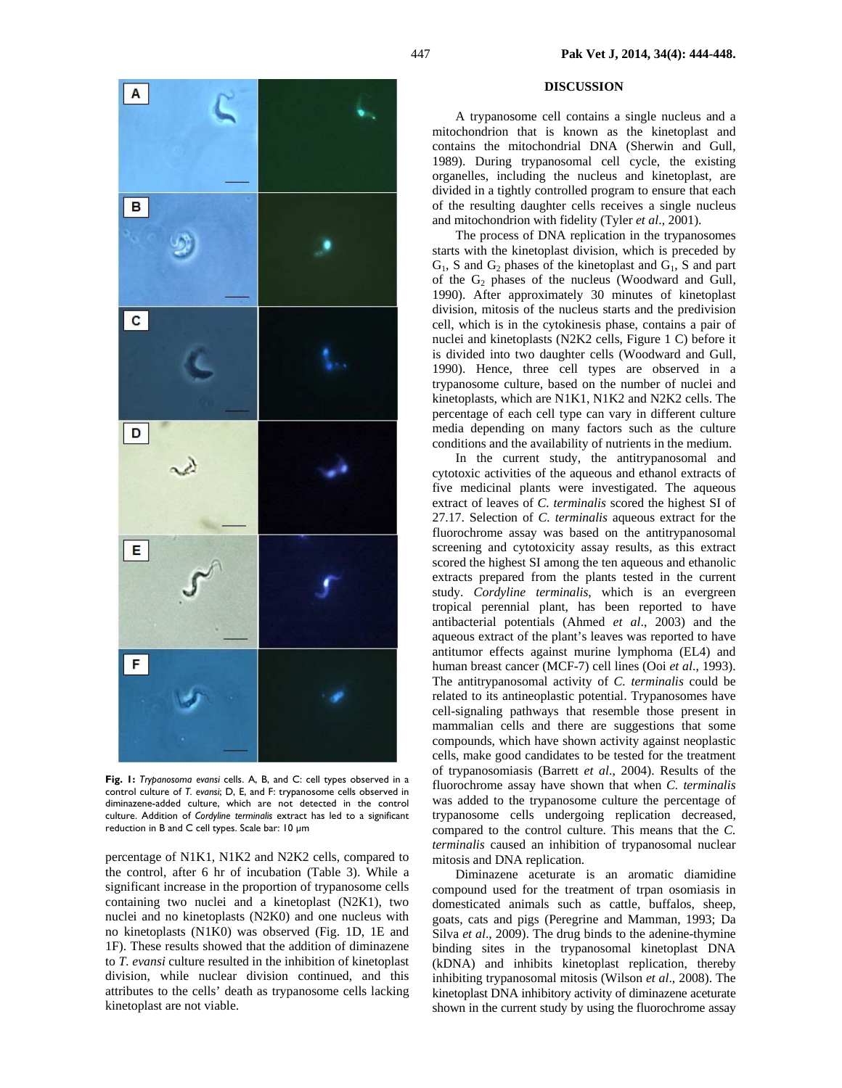

**Fig. 1:** *Trypanosoma evansi* cells. A, B, and C: cell types observed in a control culture of *T. evansi*; D, E, and F: trypanosome cells observed in diminazene-added culture, which are not detected in the control culture. Addition of *Cordyline terminalis* extract has led to a significant reduction in B and C cell types. Scale bar: 10 µm

percentage of N1K1, N1K2 and N2K2 cells, compared to the control, after 6 hr of incubation (Table 3). While a significant increase in the proportion of trypanosome cells containing two nuclei and a kinetoplast (N2K1), two nuclei and no kinetoplasts (N2K0) and one nucleus with no kinetoplasts (N1K0) was observed (Fig. 1D, 1E and 1F). These results showed that the addition of diminazene to *T. evansi* culture resulted in the inhibition of kinetoplast division, while nuclear division continued, and this attributes to the cells' death as trypanosome cells lacking kinetoplast are not viable.

### **DISCUSSION**

A trypanosome cell contains a single nucleus and a mitochondrion that is known as the kinetoplast and contains the mitochondrial DNA (Sherwin and Gull, 1989). During trypanosomal cell cycle, the existing organelles, including the nucleus and kinetoplast, are divided in a tightly controlled program to ensure that each of the resulting daughter cells receives a single nucleus and mitochondrion with fidelity (Tyler *et al*., 2001).

The process of DNA replication in the trypanosomes starts with the kinetoplast division, which is preceded by  $G_1$ , S and  $G_2$  phases of the kinetoplast and  $G_1$ , S and part of the  $G_2$  phases of the nucleus (Woodward and Gull, 1990). After approximately 30 minutes of kinetoplast division, mitosis of the nucleus starts and the predivision cell, which is in the cytokinesis phase, contains a pair of nuclei and kinetoplasts (N2K2 cells, Figure 1 C) before it is divided into two daughter cells (Woodward and Gull, 1990). Hence, three cell types are observed in a trypanosome culture, based on the number of nuclei and kinetoplasts, which are N1K1, N1K2 and N2K2 cells. The percentage of each cell type can vary in different culture media depending on many factors such as the culture conditions and the availability of nutrients in the medium.

In the current study, the antitrypanosomal and cytotoxic activities of the aqueous and ethanol extracts of five medicinal plants were investigated. The aqueous extract of leaves of *C. terminalis* scored the highest SI of 27.17. Selection of *C. terminalis* aqueous extract for the fluorochrome assay was based on the antitrypanosomal screening and cytotoxicity assay results, as this extract scored the highest SI among the ten aqueous and ethanolic extracts prepared from the plants tested in the current study. *Cordyline terminalis*, which is an evergreen tropical perennial plant, has been reported to have antibacterial potentials (Ahmed *et al*., 2003) and the aqueous extract of the plant's leaves was reported to have antitumor effects against murine lymphoma (EL4) and human breast cancer (MCF-7) cell lines (Ooi *et al*., 1993). The antitrypanosomal activity of *C. terminalis* could be related to its antineoplastic potential. Trypanosomes have cell-signaling pathways that resemble those present in mammalian cells and there are suggestions that some compounds, which have shown activity against neoplastic cells, make good candidates to be tested for the treatment of trypanosomiasis (Barrett *et al*., 2004). Results of the fluorochrome assay have shown that when *C. terminalis* was added to the trypanosome culture the percentage of trypanosome cells undergoing replication decreased, compared to the control culture. This means that the *C. terminalis* caused an inhibition of trypanosomal nuclear mitosis and DNA replication.

Diminazene aceturate is an aromatic diamidine compound used for the treatment of trpan osomiasis in domesticated animals such as cattle, buffalos, sheep, goats, cats and pigs (Peregrine and Mamman, 1993; Da Silva *et al*., 2009). The drug binds to the adenine-thymine binding sites in the trypanosomal kinetoplast DNA (kDNA) and inhibits kinetoplast replication, thereby inhibiting trypanosomal mitosis (Wilson *et al*., 2008). The kinetoplast DNA inhibitory activity of diminazene aceturate shown in the current study by using the fluorochrome assay